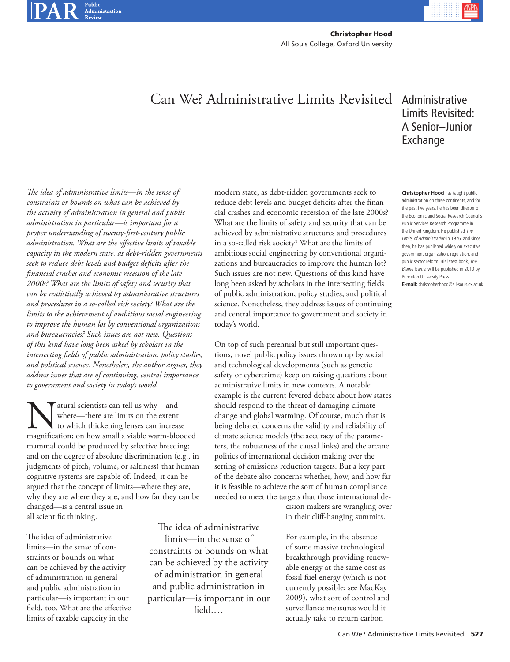

#### **Christopher Hood** All Souls College, Oxford University



# Can We? Administrative Limits Revisited

The idea of administrative limits—in the sense of *constraints or bounds on what can be achieved by the activity of administration in general and public administration in particular—is important for a proper understanding of twenty-fi rst-century public administration. What are the effective limits of taxable capacity in the modern state, as debt-ridden governments*  seek to reduce debt levels and budget deficits after the *fi nancial crashes and economic recession of the late 2000s? What are the limits of safety and security that can be realistically achieved by administrative structures and procedures in a so-called risk society? What are the limits to the achievement of ambitious social engineering to improve the human lot by conventional organizations and bureaucracies? Such issues are not new. Questions of this kind have long been asked by scholars in the intersecting fi elds of public administration, policy studies, and political science. Nonetheless, the author argues, they address issues that are of continuing, central importance to government and society in today's world.*

**Natural scientists can tell us why—and** where—there are limits on the extent to which thickening lenses can increase magnification; on how small a viable warm-blooded where—there are limits on the extent to which thickening lenses can increase mammal could be produced by selective breeding; and on the degree of absolute discrimination (e.g., in judgments of pitch, volume, or saltiness) that human cognitive systems are capable of. Indeed, it can be argued that the concept of limits—where they are, why they are where they are, and how far they can be changed—is a central issue in all scientific thinking.

> The idea of administrative limits—in the sense of constraints or bounds on what can be achieved by the activity of administration in general and public administration in particular—is important in our  $field...$

The idea of administrative limits—in the sense of constraints or bounds on what can be achieved by the activity of administration in general and public administration in particular—is important in our field, too. What are the effective limits of taxable capacity in the

modern state, as debt-ridden governments seek to reduce debt levels and budget deficits after the financial crashes and economic recession of the late 2000s? What are the limits of safety and security that can be achieved by administrative structures and procedures in a so-called risk society? What are the limits of ambitious social engineering by conventional organizations and bureaucracies to improve the human lot? Such issues are not new. Questions of this kind have long been asked by scholars in the intersecting fields of public administration, policy studies, and political science. Nonetheless, they address issues of continuing and central importance to government and society in today's world.

On top of such perennial but still important questions, novel public policy issues thrown up by social and technological developments (such as genetic safety or cybercrime) keep on raising questions about administrative limits in new contexts. A notable example is the current fevered debate about how states should respond to the threat of damaging climate change and global warming. Of course, much that is being debated concerns the validity and reliability of climate science models (the accuracy of the parameters, the robustness of the causal links) and the arcane politics of international decision making over the setting of emissions reduction targets. But a key part of the debate also concerns whether, how, and how far it is feasible to achieve the sort of human compliance needed to meet the targets that those international de-

> cision makers are wrangling over in their cliff-hanging summits.

For example, in the absence of some massive technological breakthrough providing renewable energy at the same cost as fossil fuel energy (which is not currently possible; see MacKay 2009), what sort of control and surveillance measures would it actually take to return carbon

# Administrative Limits Revisited: A Senior–Junior Exchange

**Christopher Hood** has taught public administration on three continents, and for the past five years, he has been director of the Economic and Social Research Council's Public Services Research Programme in the United Kingdom. He published The Limits of Administration in 1976, and since then, he has published widely on executive government organization, regulation, and public sector reform. His latest book, The Blame Game, will be published in 2010 by Princeton University Press.

**E-mail:** christopher.hood@all-souls.ox.ac.uk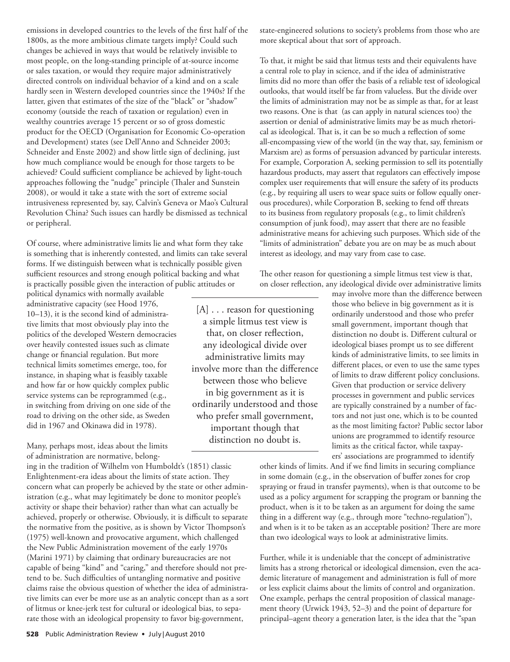emissions in developed countries to the levels of the first half of the 1800s, as the more ambitious climate targets imply? Could such changes be achieved in ways that would be relatively invisible to most people, on the long- standing principle of at-source income or sales taxation, or would they require major administratively directed controls on individual behavior of a kind and on a scale hardly seen in Western developed countries since the 1940s? If the latter, given that estimates of the size of the "black" or "shadow" economy (outside the reach of taxation or regulation) even in wealthy countries average 15 percent or so of gross domestic product for the OECD (Organisation for Economic Co-operation and Development) states (see Dell'Anno and Schneider 2003; Schneider and Enste 2002) and show little sign of declining, just how much compliance would be enough for those targets to be achieved? Could sufficient compliance be achieved by light-touch approaches following the "nudge" principle (Thaler and Sunstein 2008), or would it take a state with the sort of extreme social intrusiveness represented by, say, Calvin's Geneva or Mao's Cultural Revolution China? Such issues can hardly be dismissed as technical or peripheral.

Of course, where administrative limits lie and what form they take is something that is inherently contested, and limits can take several forms. If we distinguish between what is technically possible given sufficient resources and strong enough political backing and what is practically possible given the interaction of public attitudes or

 political dynamics with normally available administrative capacity (see Hood 1976, 10–13), it is the second kind of administrative limits that most obviously play into the politics of the developed Western democracies over heavily contested issues such as climate change or financial regulation. But more technical limits sometimes emerge, too, for instance, in shaping what is feasibly taxable and how far or how quickly complex public service systems can be reprogrammed (e.g., in switching from driving on one side of the road to driving on the other side, as Sweden did in 1967 and Okinawa did in 1978).

Many, perhaps most, ideas about the limits of administration are normative, belong-

ing in the tradition of Wilhelm von Humboldt's (1851) classic Enlightenment-era ideas about the limits of state action. They concern what can properly be achieved by the state or other administration (e.g., what may legitimately be done to monitor people's activity or shape their behavior) rather than what can actually be achieved, properly or otherwise. Obviously, it is difficult to separate the normative from the positive, as is shown by Victor Thompson's (1975) well-known and provocative argument, which challenged the New Public Administration movement of the early 1970s (Marini 1971) by claiming that ordinary bureaucracies are not capable of being "kind" and "caring," and therefore should not pretend to be. Such difficulties of untangling normative and positive claims raise the obvious question of whether the idea of administrative limits can ever be more use as an analytic concept than as a sort of litmus or knee-jerk test for cultural or ideological bias, to separate those with an ideological propensity to favor big-government,

state- engineered solutions to society's problems from those who are more skeptical about that sort of approach.

To that, it might be said that litmus tests and their equivalents have a central role to play in science, and if the idea of administrative limits did no more than offer the basis of a reliable test of ideological outlooks, that would itself be far from valueless. But the divide over the limits of administration may not be as simple as that, for at least two reasons. One is that (as can apply in natural sciences too) the assertion or denial of administrative limits may be as much rhetorical as ideological. That is, it can be so much a reflection of some all-encompassing view of the world (in the way that, say, feminism or Marxism are) as forms of persuasion advanced by particular interests. For example, Corporation A, seeking permission to sell its potentially hazardous products, may assert that regulators can effectively impose complex user requirements that will ensure the safety of its products (e.g., by requiring all users to wear space suits or follow equally onerous procedures), while Corporation B, seeking to fend off threats to its business from regulatory proposals (e.g., to limit children's consumption of junk food), may assert that there are no feasible administrative means for achieving such purposes. Which side of the "limits of administration" debate you are on may be as much about interest as ideology, and may vary from case to case.

The other reason for questioning a simple litmus test view is that, on closer reflection, any ideological divide over administrative limits

[A] . . . reason for questioning a simple litmus test view is that, on closer reflection, any ideological divide over administrative limits may involve more than the difference between those who believe in big government as it is ordinarily understood and those who prefer small government, important though that distinction no doubt is.

may involve more than the difference between those who believe in big government as it is ordinarily understood and those who prefer small government, important though that distinction no doubt is. Different cultural or ideological biases prompt us to see different kinds of administrative limits, to see limits in different places, or even to use the same types of limits to draw different policy conclusions. Given that production or service delivery processes in government and public services are typically constrained by a number of factors and not just one, which is to be counted as the most limiting factor? Public sector labor unions are programmed to identify resource limits as the critical factor, while taxpayers' associations are programmed to identify

other kinds of limits. And if we find limits in securing compliance in some domain (e.g., in the observation of buffer zones for crop spraying or fraud in transfer payments), when is that outcome to be used as a policy argument for scrapping the program or banning the product, when is it to be taken as an argument for doing the same thing in a different way (e.g., through more "techno-regulation"), and when is it to be taken as an acceptable position? There are more than two ideological ways to look at administrative limits.

Further, while it is undeniable that the concept of administrative limits has a strong rhetorical or ideological dimension, even the academic literature of management and administration is full of more or less explicit claims about the limits of control and organization. One example, perhaps the central proposition of classical management theory (Urwick 1943, 52–3) and the point of departure for principal–agent theory a generation later, is the idea that the "span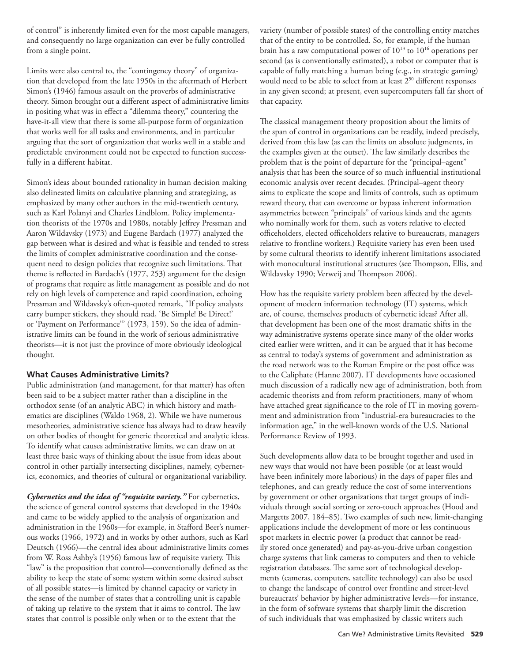of control" is inherently limited even for the most capable managers, and consequently no large organization can ever be fully controlled from a single point.

Limits were also central to, the "contingency theory" of organization that developed from the late 1950s in the aftermath of Herbert Simon's (1946) famous assault on the proverbs of administrative theory. Simon brought out a different aspect of administrative limits in positing what was in effect a "dilemma theory," countering the have-it-all view that there is some all-purpose form of organization that works well for all tasks and environments, and in particular arguing that the sort of organization that works well in a stable and predictable environment could not be expected to function successfully in a different habitat.

Simon's ideas about bounded rationality in human decision making also delineated limits on calculative planning and strategizing, as emphasized by many other authors in the mid-twentieth century, such as Karl Polanyi and Charles Lindblom. Policy implementation theorists of the 1970s and 1980s, notably Jeffrey Pressman and Aaron Wildavsky (1973) and Eugene Bardach (1977) analyzed the gap between what is desired and what is feasible and tended to stress the limits of complex administrative coordination and the consequent need to design policies that recognize such limitations. That theme is reflected in Bardach's (1977, 253) argument for the design of programs that require as little management as possible and do not rely on high levels of competence and rapid coordination, echoing Pressman and Wildavsky's often-quoted remark, "If policy analysts carry bumper stickers, they should read, 'Be Simple! Be Direct!' or 'Payment on Performance'" (1973, 159). So the idea of administrative limits can be found in the work of serious administrative theorists—it is not just the province of more obviously ideological thought.

### **What Causes Administrative Limits?**

Public administration (and management, for that matter) has often been said to be a subject matter rather than a discipline in the orthodox sense (of an analytic ABC) in which history and mathematics are disciplines (Waldo 1968, 2). While we have numerous mesotheories, administrative science has always had to draw heavily on other bodies of thought for generic theoretical and analytic ideas. To identify what causes administrative limits, we can draw on at least three basic ways of thinking about the issue from ideas about control in other partially intersecting disciplines, namely, cybernetics, economics, and theories of cultural or organizational variability.

*Cybernetics and the idea of "requisite variety."* For cybernetics, the science of general control systems that developed in the 1940s and came to be widely applied to the analysis of organization and administration in the 1960s-for example, in Stafford Beer's numerous works (1966, 1972) and in works by other authors, such as Karl Deutsch (1966)—the central idea about administrative limits comes from W. Ross Ashby's (1956) famous law of requisite variety. This "law" is the proposition that control—conventionally defined as the ability to keep the state of some system within some desired subset of all possible states—is limited by channel capacity or variety in the sense of the number of states that a controlling unit is capable of taking up relative to the system that it aims to control. The law states that control is possible only when or to the extent that the

variety (number of possible states) of the controlling entity matches that of the entity to be controlled. So, for example, if the human brain has a raw computational power of  $10^{13}$  to  $10^{16}$  operations per second (as is conventionally estimated), a robot or computer that is capable of fully matching a human being (e.g., in strategic gaming) would need to be able to select from at least 2<sup>50</sup> different responses in any given second; at present, even supercomputers fall far short of that capacity.

The classical management theory proposition about the limits of the span of control in organizations can be readily, indeed precisely, derived from this law (as can the limits on absolute judgments, in the examples given at the outset). The law similarly describes the problem that is the point of departure for the "principal–agent" analysis that has been the source of so much influential institutional economic analysis over recent decades. (Principal–agent theory aims to explicate the scope and limits of controls, such as optimum reward theory, that can overcome or bypass inherent information asymmetries between "principals" of various kinds and the agents who nominally work for them, such as voters relative to elected officeholders, elected officeholders relative to bureaucrats, managers relative to frontline workers.) Requisite variety has even been used by some cultural theorists to identify inherent limitations associated with monocultural institutional structures (see Thompson, Ellis, and Wildavsky 1990; Verweij and Thompson 2006).

How has the requisite variety problem been affected by the development of modern information technology (IT) systems, which are, of course, themselves products of cybernetic ideas? After all, that development has been one of the most dramatic shifts in the way administrative systems operate since many of the older works cited earlier were written, and it can be argued that it has become as central to today's systems of government and administration as the road network was to the Roman Empire or the post office was to the Caliphate (Hanne 2007). IT developments have occasioned much discussion of a radically new age of administration, both from academic theorists and from reform practitioners, many of whom have attached great significance to the role of IT in moving government and administration from "industrial-era bureaucracies to the information age," in the well-known words of the U.S. National Performance Review of 1993.

Such developments allow data to be brought together and used in new ways that would not have been possible (or at least would have been infinitely more laborious) in the days of paper files and telephones, and can greatly reduce the cost of some interventions by government or other organizations that target groups of individuals through social sorting or zero-touch approaches (Hood and Margetts 2007, 184–85). Two examples of such new, limit-changing applications include the development of more or less continuous spot markets in electric power (a product that cannot be readily stored once generated) and pay-as-you-drive urban congestion charge systems that link cameras to computers and then to vehicle registration databases. The same sort of technological developments (cameras, computers, satellite technology) can also be used to change the landscape of control over frontline and street-level bureaucrats' behavior by higher administrative levels—for instance, in the form of software systems that sharply limit the discretion of such individuals that was emphasized by classic writers such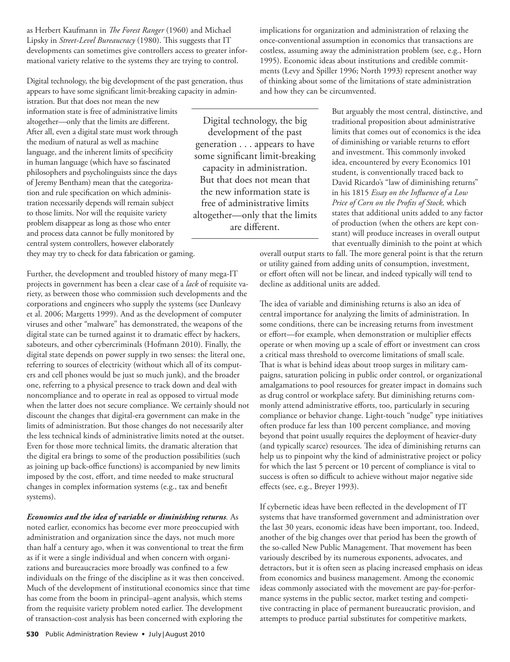as Herbert Kaufmann in *The Forest Ranger* (1960) and Michael Lipsky in *Street-Level Bureaucracy* (1980). This suggests that IT developments can sometimes give controllers access to greater informational variety relative to the systems they are trying to control.

Digital technology, the big development of the past generation, thus appears to have some significant limit-breaking capacity in admin-

istration. But that does not mean the new information state is free of administrative limits altogether—only that the limits are different. After all, even a digital state must work through the medium of natural as well as machine language, and the inherent limits of specificity in human language (which have so fascinated philosophers and psycholinguists since the days of Jeremy Bentham) mean that the categorization and rule specification on which administration necessarily depends will remain subject to those limits. Nor will the requisite variety problem disappear as long as those who enter and process data cannot be fully monitored by central system controllers, however elaborately they may try to check for data fabrication or gaming.

Further, the development and troubled history of many mega-IT projects in government has been a clear case of a *lack* of requisite variety, as between those who commission such developments and the corporations and engineers who supply the systems (see Dunleavy et al. 2006; Margetts 1999). And as the development of computer viruses and other "malware" has demonstrated, the weapons of the digital state can be turned against it to dramatic effect by hackers, saboteurs, and other cybercriminals (Hofmann 2010). Finally, the digital state depends on power supply in two senses: the literal one, referring to sources of electricity (without which all of its computers and cell phones would be just so much junk), and the broader one, referring to a physical presence to track down and deal with noncompliance and to operate in real as opposed to virtual mode when the latter does not secure compliance. We certainly should not discount the changes that digital-era government can make in the limits of administration. But those changes do not necessarily alter the less technical kinds of administrative limits noted at the outset. Even for those more technical limits, the dramatic alteration that the digital era brings to some of the production possibilities (such as joining up back-office functions) is accompanied by new limits imposed by the cost, effort, and time needed to make structural changes in complex information systems (e.g., tax and benefit systems).

*Economics and the idea of variable or diminishing returns.* As noted earlier, economics has become ever more preoccupied with administration and organization since the days, not much more than half a century ago, when it was conventional to treat the firm as if it were a single individual and when concern with organizations and bureaucracies more broadly was confined to a few individuals on the fringe of the discipline as it was then conceived. Much of the development of institutional economics since that time has come from the boom in principal–agent analysis, which stems from the requisite variety problem noted earlier. The development of transaction-cost analysis has been concerned with exploring the

Digital technology, the big development of the past generation . . . appears to have some significant limit-breaking capacity in administration. But that does not mean that the new information state is free of administrative limits altogether—only that the limits are different.

implications for organization and administration of relaxing the once- conventional assumption in economics that transactions are costless, assuming away the administration problem (see, e.g., Horn 1995). Economic ideas about institutions and credible commitments (Levy and Spiller 1996; North 1993) represent another way of thinking about some of the limitations of state administration and how they can be circumvented.

> But arguably the most central, distinctive, and traditional proposition about administrative limits that comes out of economics is the idea of diminishing or variable returns to effort and investment. This commonly invoked idea, encountered by every Economics 101 student, is conventionally traced back to David Ricardo's "law of diminishing returns" in his 1815 *Essay on the Influence of a Low Price of Corn on the Profits of Stock*, which states that additional units added to any factor of production (when the others are kept constant) will produce increases in overall output that eventually diminish to the point at which

overall output starts to fall. The more general point is that the return or utility gained from adding units of consumption, investment, or effort often will not be linear, and indeed typically will tend to decline as additional units are added.

The idea of variable and diminishing returns is also an idea of central importance for analyzing the limits of administration. In some conditions, there can be increasing returns from investment or effort—for example, when demonstration or multiplier effects operate or when moving up a scale of effort or investment can cross a critical mass threshold to overcome limitations of small scale. That is what is behind ideas about troop surges in military campaigns, saturation policing in public order control, or organizational amalgamations to pool resources for greater impact in domains such as drug control or workplace safety. But diminishing returns commonly attend administrative efforts, too, particularly in securing compliance or behavior change. Light-touch "nudge" type initiatives often produce far less than 100 percent compliance, and moving beyond that point usually requires the deployment of heavier-duty (and typically scarce) resources. The idea of diminishing returns can help us to pinpoint why the kind of administrative project or policy for which the last 5 percent or 10 percent of compliance is vital to success is often so difficult to achieve without major negative side effects (see, e.g., Breyer 1993).

If cybernetic ideas have been reflected in the development of IT systems that have transformed government and administration over the last 30 years, economic ideas have been important, too. Indeed, another of the big changes over that period has been the growth of the so-called New Public Management. That movement has been variously described by its numerous exponents, advocates, and detractors, but it is often seen as placing increased emphasis on ideas from economics and business management. Among the economic ideas commonly associated with the movement are pay-for-performance systems in the public sector, market testing and competitive contracting in place of permanent bureaucratic provision, and attempts to produce partial substitutes for competitive markets,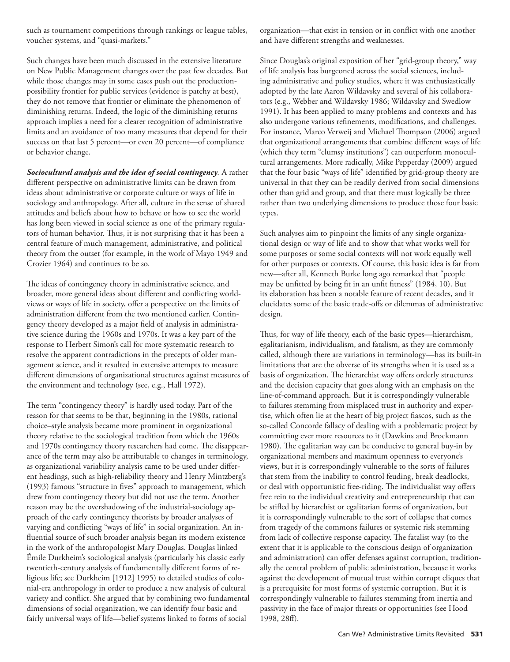such as tournament competitions through rankings or league tables, voucher systems, and "quasi-markets."

Such changes have been much discussed in the extensive literature on New Public Management changes over the past few decades. But while those changes may in some cases push out the productionpossibility frontier for public services (evidence is patchy at best), they do not remove that frontier or eliminate the phenomenon of diminishing returns. Indeed, the logic of the diminishing returns approach implies a need for a clearer recognition of administrative limits and an avoidance of too many measures that depend for their success on that last 5 percent—or even 20 percent—of compliance or behavior change.

*Sociocultural analysis and the idea of social contingency.* A rather different perspective on administrative limits can be drawn from ideas about administrative or corporate culture or ways of life in sociology and anthropology. After all, culture in the sense of shared attitudes and beliefs about how to behave or how to see the world has long been viewed in social science as one of the primary regulators of human behavior. Thus, it is not surprising that it has been a central feature of much management, administrative, and political theory from the outset (for example, in the work of Mayo 1949 and Crozier 1964) and continues to be so.

The ideas of contingency theory in administrative science, and broader, more general ideas about different and conflicting worldviews or ways of life in society, offer a perspective on the limits of administration different from the two mentioned earlier. Contingency theory developed as a major field of analysis in administrative science during the 1960s and 1970s. It was a key part of the response to Herbert Simon's call for more systematic research to resolve the apparent contradictions in the precepts of older management science, and it resulted in extensive attempts to measure different dimensions of organizational structures against measures of the environment and technology (see, e.g., Hall 1972).

The term "contingency theory" is hardly used today. Part of the reason for that seems to be that, beginning in the 1980s, rational choice–style analysis became more prominent in organizational theory relative to the sociological tradition from which the 1960s and 1970s contingency theory researchers had come. The disappearance of the term may also be attributable to changes in terminology, as organizational variability analysis came to be used under different headings, such as high-reliability theory and Henry Mintzberg's (1993) famous "structure in fives" approach to management, which drew from contingency theory but did not use the term. Another reason may be the overshadowing of the industrial-sociology approach of the early contingency theorists by broader analyses of varying and conflicting "ways of life" in social organization. An influential source of such broader analysis began its modern existence in the work of the anthropologist Mary Douglas. Douglas linked Émile Durkheim's sociological analysis (particularly his classic early twentieth-century analysis of fundamentally different forms of religious life; see Durkheim [1912] 1995) to detailed studies of colonial-era anthropology in order to produce a new analysis of cultural variety and conflict. She argued that by combining two fundamental dimensions of social organization, we can identify four basic and fairly universal ways of life—belief systems linked to forms of social

organization—that exist in tension or in conflict with one another and have different strengths and weaknesses.

Since Douglas's original exposition of her "grid-group theory," way of life analysis has burgeoned across the social sciences, including administrative and policy studies, where it was enthusiastically adopted by the late Aaron Wildavsky and several of his collaborators (e.g., Webber and Wildavsky 1986; Wildavsky and Swedlow 1991). It has been applied to many problems and contexts and has also undergone various refinements, modifications, and challenges. For instance, Marco Verweij and Michael Thompson (2006) argued that organizational arrangements that combine different ways of life (which they term "clumsy institutions") can outperform monocultural arrangements. More radically, Mike Pepperday (2009) argued that the four basic "ways of life" identified by grid-group theory are universal in that they can be readily derived from social dimensions other than grid and group, and that there must logically be three rather than two underlying dimensions to produce those four basic types.

Such analyses aim to pinpoint the limits of any single organizational design or way of life and to show that what works well for some purposes or some social contexts will not work equally well for other purposes or contexts. Of course, this basic idea is far from new— after all, Kenneth Burke long ago remarked that "people may be unfitted by being fit in an unfit fitness" (1984, 10). But its elaboration has been a notable feature of recent decades, and it elucidates some of the basic trade-offs or dilemmas of administrative design.

Thus, for way of life theory, each of the basic types—hierarchism, egalitarianism, individualism, and fatalism, as they are commonly called, although there are variations in terminology—has its built-in limitations that are the obverse of its strengths when it is used as a basis of organization. The hierarchist way offers orderly structures and the decision capacity that goes along with an emphasis on the line-of-command approach. But it is correspondingly vulnerable to failures stemming from misplaced trust in authority and expertise, which often lie at the heart of big project fiascos, such as the so-called Concorde fallacy of dealing with a problematic project by committing ever more resources to it (Dawkins and Brockmann 1980). The egalitarian way can be conducive to general buy-in by organizational members and maximum openness to everyone's views, but it is correspondingly vulnerable to the sorts of failures that stem from the inability to control feuding, break deadlocks, or deal with opportunistic free-riding. The individualist way offers free rein to the individual creativity and entrepreneurship that can be stifled by hierarchist or egalitarian forms of organization, but it is correspondingly vulnerable to the sort of collapse that comes from tragedy of the commons failures or systemic risk stemming from lack of collective response capacity. The fatalist way (to the extent that it is applicable to the conscious design of organization and administration) can offer defenses against corruption, traditionally the central problem of public administration, because it works against the development of mutual trust within corrupt cliques that is a prerequisite for most forms of systemic corruption. But it is correspondingly vulnerable to failures stemming from inertia and passivity in the face of major threats or opportunities (see Hood 1998, 28ff).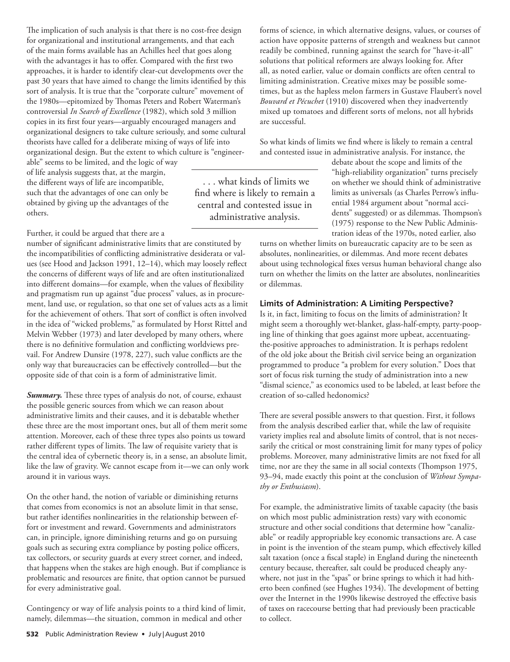The implication of such analysis is that there is no cost-free design for organizational and institutional arrangements, and that each of the main forms available has an Achilles heel that goes along with the advantages it has to offer. Compared with the first two approaches, it is harder to identify clear-cut developments over the past 30 years that have aimed to change the limits identified by this sort of analysis. It is true that the "corporate culture" movement of the 1980s—epitomized by Thomas Peters and Robert Waterman's controversial *In Search of Excellence* (1982), which sold 3 million copies in its first four years—arguably encouraged managers and organizational designers to take culture seriously, and some cultural theorists have called for a deliberate mixing of ways of life into organizational design. But the extent to which culture is "engineer-

able" seems to be limited, and the logic of way of life analysis suggests that, at the margin, the different ways of life are incompatible, such that the advantages of one can only be obtained by giving up the advantages of the others.

# Further, it could be argued that there are a

number of significant administrative limits that are constituted by the incompatibilities of conflicting administrative desiderata or values (see Hood and Jackson 1991, 12-14), which may loosely reflect the concerns of different ways of life and are often institutionalized into different domains-for example, when the values of flexibility and pragmatism run up against "due process" values, as in procurement, land use, or regulation, so that one set of values acts as a limit for the achievement of others. That sort of conflict is often involved in the idea of "wicked problems," as formulated by Horst Rittel and Melvin Webber (1973) and later developed by many others, where there is no definitive formulation and conflicting worldviews prevail. For Andrew Dunsire (1978, 227), such value conflicts are the only way that bureaucracies can be effectively controlled—but the opposite side of that coin is a form of administrative limit.

Summary. These three types of analysis do not, of course, exhaust the possible generic sources from which we can reason about administrative limits and their causes, and it is debatable whether these three are the most important ones, but all of them merit some attention. Moreover, each of these three types also points us toward rather different types of limits. The law of requisite variety that is the central idea of cybernetic theory is, in a sense, an absolute limit, like the law of gravity. We cannot escape from it—we can only work around it in various ways.

On the other hand, the notion of variable or diminishing returns that comes from economics is not an absolute limit in that sense, but rather identifies nonlinearities in the relationship between effort or investment and reward. Governments and administrators can, in principle, ignore diminishing returns and go on pursuing goals such as securing extra compliance by posting police officers, tax collectors, or security guards at every street corner, and indeed, that happens when the stakes are high enough. But if compliance is problematic and resources are finite, that option cannot be pursued for every administrative goal.

Contingency or way of life analysis points to a third kind of limit, namely, dilemmas—the situation, common in medical and other

forms of science, in which alternative designs, values, or courses of action have opposite patterns of strength and weakness but cannot readily be combined, running against the search for "have-it-all" solutions that political reformers are always looking for. After all, as noted earlier, value or domain conflicts are often central to limiting administration. Creative mixes may be possible sometimes, but as the hapless melon farmers in Gustave Flaubert's novel *Bouvard et Pécuchet* (1910) discovered when they inadvertently mixed up tomatoes and different sorts of melons, not all hybrids are successful.

So what kinds of limits we find where is likely to remain a central and contested issue in administrative analysis. For instance, the

 . . . what kinds of limits we find where is likely to remain a central and contested issue in administrative analysis.

 debate about the scope and limits of the "high- reliability organization" turns precisely on whether we should think of administrative limits as universals (as Charles Perrow's influential 1984 argument about "normal accidents" suggested) or as dilemmas. Thompson's (1975) response to the New Public Administration ideas of the 1970s, noted earlier, also

turns on whether limits on bureaucratic capacity are to be seen as absolutes, nonlinearities, or dilemmas. And more recent debates about using technological fixes versus human behavioral change also turn on whether the limits on the latter are absolutes, nonlinearities or dilemmas.

#### **Limits of Administration: A Limiting Perspective?**

Is it, in fact, limiting to focus on the limits of administration? It might seem a thoroughly wet-blanket, glass-half-empty, party-pooping line of thinking that goes against more upbeat, accentuatingthe-positive approaches to administration. It is perhaps redolent of the old joke about the British civil service being an organization programmed to produce "a problem for every solution." Does that sort of focus risk turning the study of administration into a new "dismal science," as economics used to be labeled, at least before the creation of so-called hedonomics?

There are several possible answers to that question. First, it follows from the analysis described earlier that, while the law of requisite variety implies real and absolute limits of control, that is not necessarily the critical or most constraining limit for many types of policy problems. Moreover, many administrative limits are not fixed for all time, nor are they the same in all social contexts (Thompson 1975, 93–94, made exactly this point at the conclusion of *Without Sympathy or Enthusiasm*).

For example, the administrative limits of taxable capacity (the basis on which most public administration rests) vary with economic structure and other social conditions that determine how "canalizable" or readily appropriable key economic transactions are. A case in point is the invention of the steam pump, which effectively killed salt taxation (once a fiscal staple) in England during the nineteenth century because, thereafter, salt could be produced cheaply anywhere, not just in the "spas" or brine springs to which it had hitherto been confined (see Hughes 1934). The development of betting over the Internet in the 1990s likewise destroyed the effective basis of taxes on racecourse betting that had previously been practicable to collect.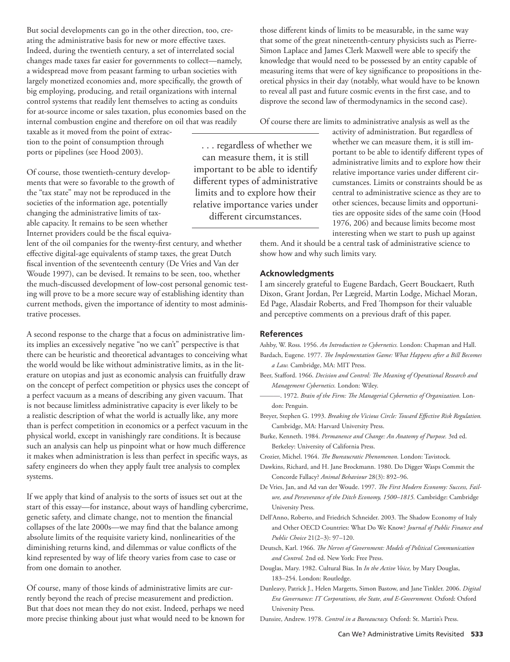But social developments can go in the other direction, too, creating the administrative basis for new or more effective taxes. Indeed, during the twentieth century, a set of interrelated social changes made taxes far easier for governments to collect—namely, a widespread move from peasant farming to urban societies with largely monetized economies and, more specifically, the growth of big employing, producing, and retail organizations with internal control systems that readily lent themselves to acting as conduits for at-source income or sales taxation, plus economies based on the internal combustion engine and therefore on oil that was readily

taxable as it moved from the point of extraction to the point of consumption through ports or pipelines (see Hood 2003).

Of course, those twentieth-century developments that were so favorable to the growth of the "tax state" may not be reproduced in the societies of the information age, potentially changing the administrative limits of taxable capacity. It remains to be seen whether Internet providers could be the fiscal equiva-

lent of the oil companies for the twenty-first century, and whether effective digital-age equivalents of stamp taxes, the great Dutch fiscal invention of the seventeenth century (De Vries and Van der Woude 1997), can be devised. It remains to be seen, too, whether the much-discussed development of low-cost personal genomic testing will prove to be a more secure way of establishing identity than current methods, given the importance of identity to most administrative processes.

A second response to the charge that a focus on administrative limits implies an excessively negative "no we can't" perspective is that there can be heuristic and theoretical advantages to conceiving what the world would be like without administrative limits, as in the literature on utopias and just as economic analysis can fruitfully draw on the concept of perfect competition or physics uses the concept of a perfect vacuum as a means of describing any given vacuum. That is not because limitless administrative capacity is ever likely to be a realistic description of what the world is actually like, any more than is perfect competition in economics or a perfect vacuum in the physical world, except in vanishingly rare conditions. It is because such an analysis can help us pinpoint what or how much difference it makes when administration is less than perfect in specific ways, as safety engineers do when they apply fault tree analysis to complex systems.

If we apply that kind of analysis to the sorts of issues set out at the start of this essay—for instance, about ways of handling cybercrime, genetic safety, and climate change, not to mention the financial collapses of the late 2000s—we may find that the balance among absolute limits of the requisite variety kind, nonlinearities of the diminishing returns kind, and dilemmas or value conflicts of the kind represented by way of life theory varies from case to case or from one domain to another.

Of course, many of those kinds of administrative limits are currently beyond the reach of precise measurement and prediction. But that does not mean they do not exist. Indeed, perhaps we need more precise thinking about just what would need to be known for

 . . . regardless of whether we can measure them, it is still important to be able to identify different types of administrative limits and to explore how their relative importance varies under different circumstances.

those different kinds of limits to be measurable, in the same way that some of the great nineteenth-century physicists such as Pierre-Simon Laplace and James Clerk Maxwell were able to specify the knowledge that would need to be possessed by an entity capable of measuring items that were of key significance to propositions in theoretical physics in their day (notably, what would have to be known to reveal all past and future cosmic events in the first case, and to disprove the second law of thermodynamics in the second case).

Of course there are limits to administrative analysis as well as the

activity of administration. But regardless of whether we can measure them, it is still important to be able to identify different types of administrative limits and to explore how their relative importance varies under different circumstances. Limits or constraints should be as central to administrative science as they are to other sciences, because limits and opportunities are opposite sides of the same coin (Hood 1976, 206) and because limits become most interesting when we start to push up against

them. And it should be a central task of administrative science to show how and why such limits vary.

#### **Acknowledgments**

I am sincerely grateful to Eugene Bardach, Geert Bouckaert, Ruth Dixon, Grant Jordan, Per Lægreid, Martin Lodge, Michael Moran, Ed Page, Alasdair Roberts, and Fred Thompson for their valuable and perceptive comments on a previous draft of this paper.

#### **References**

Ashby, W. Ross. 1956. *An Introduction to Cybernetics.* London: Chapman and Hall.

- Bardach, Eugene. 1977. *The Implementation Game: What Happens after a Bill Becomes a Law.* Cambridge, MA: MIT Press.
- Beer, Stafford. 1966. *Decision and Control: The Meaning of Operational Research and Management Cybernetics.* London: Wiley.
	- $-$ . 1972. *Brain of the Firm: The Managerial Cybernetics of Organization.* London: Penguin.

Breyer, Stephen G. 1993. *Breaking the Vicious Circle: Toward Effective Risk Regulation*. Cambridge, MA: Harvard University Press.

- Burke, Kenneth. 1984. *Permanence and Change: An Anatomy of Purpose.* 3rd ed. Berkeley: University of California Press.
- Crozier, Michel. 1964. *The Bureaucratic Phenomenon*. London: Tavistock.

Dawkins, Richard, and H. Jane Brockmann. 1980. Do Digger Wasps Commit the Concorde Fallacy? *Animal Behaviour* 28(3): 892–96.

- De Vries, Jan, and Ad van der Woude. 1997. The First Modern Economy: Success, Fail*ure, and Perseverance of the Ditch Economy, 1500–1815.* Cambridge: Cambridge University Press.
- Dell'Anno, Roberto, and Friedrich Schneider. 2003. The Shadow Economy of Italy and Other OECD Countries: What Do We Know? *Journal of Public Finance and Public Choice* 21(2–3): 97–120.
- Deutsch, Karl. 1966. *The Nerves of Government: Models of Political Communication and Control.* 2nd ed. New York: Free Press.
- Douglas, Mary. 1982. Cultural Bias. In *In the Active Voice,* by Mary Douglas, 183–254. London: Routledge.
- Dunleavy, Patrick J., Helen Margetts, Simon Bastow, and Jane Tinkler. 2006. *Digital Era Governance: IT Corporations, the State, and E-Government.* Oxford: Oxford University Press.

Dunsire, Andrew. 1978. *Control in a Bureaucracy.* Oxford: St. Martin's Press.